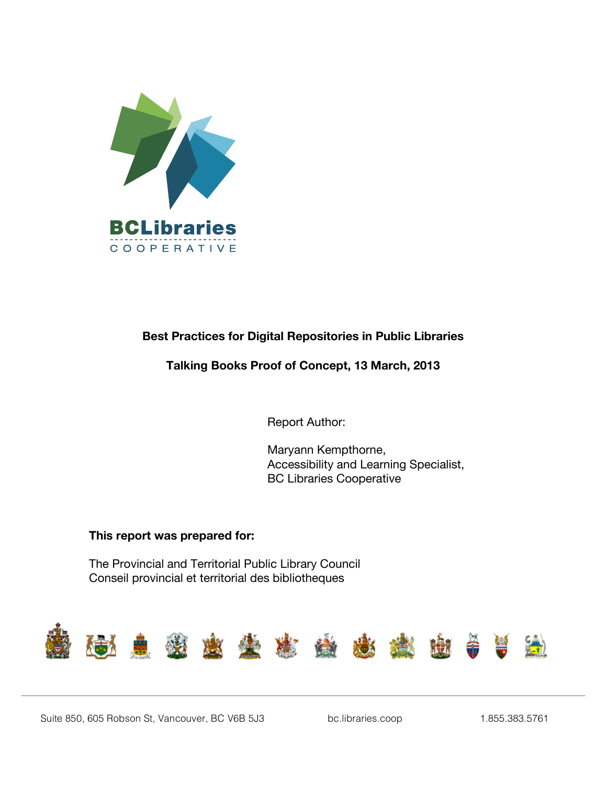

# **Best Practices for Digital Repositories in Public Libraries**

# **Talking Books Proof of Concept, 13 March, 2013**

Report Author:

Maryann Kempthorne, Accessibility and Learning Specialist, BC Libraries Cooperative

## **This report was prepared for:**

The Provincial and Territorial Public Library Council Conseil provincial et territorial des bibliotheques

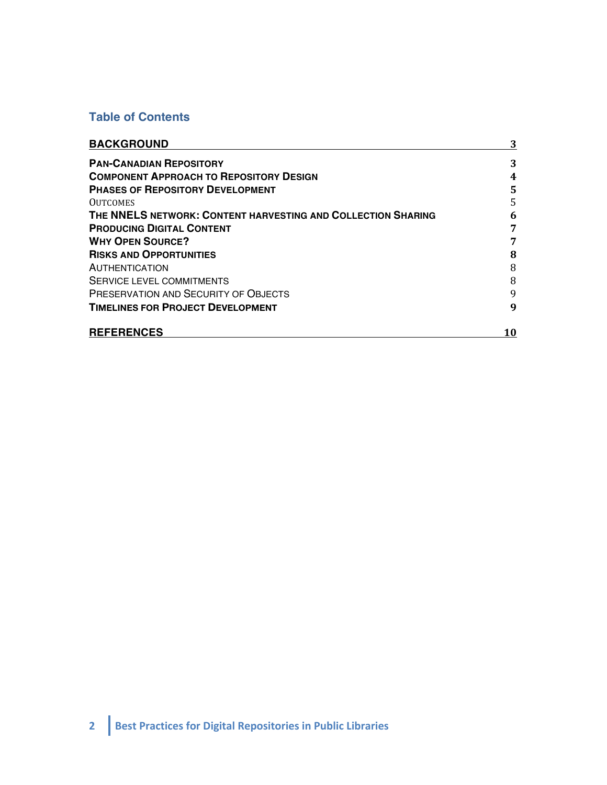# **Table of Contents**

| <b>BACKGROUND</b>                                            | 3  |
|--------------------------------------------------------------|----|
| <b>PAN-CANADIAN REPOSITORY</b>                               | 3  |
| <b>COMPONENT APPROACH TO REPOSITORY DESIGN</b>               | 4  |
| <b>PHASES OF REPOSITORY DEVELOPMENT</b>                      | 5  |
| <b>OUTCOMES</b>                                              | 5  |
| THE NNELS NETWORK: CONTENT HARVESTING AND COLLECTION SHARING | 6  |
| <b>PRODUCING DIGITAL CONTENT</b>                             | 7  |
| <b>WHY OPEN SOURCE?</b>                                      | 7  |
| <b>RISKS AND OPPORTUNITIES</b>                               | 8  |
| <b>AUTHENTICATION</b>                                        | 8  |
| SERVICE LEVEL COMMITMENTS                                    | 8  |
| <b>PRESERVATION AND SECURITY OF OBJECTS</b>                  | 9  |
| <b>TIMELINES FOR PROJECT DEVELOPMENT</b>                     | 9  |
| <b>REFERENCES</b>                                            | 10 |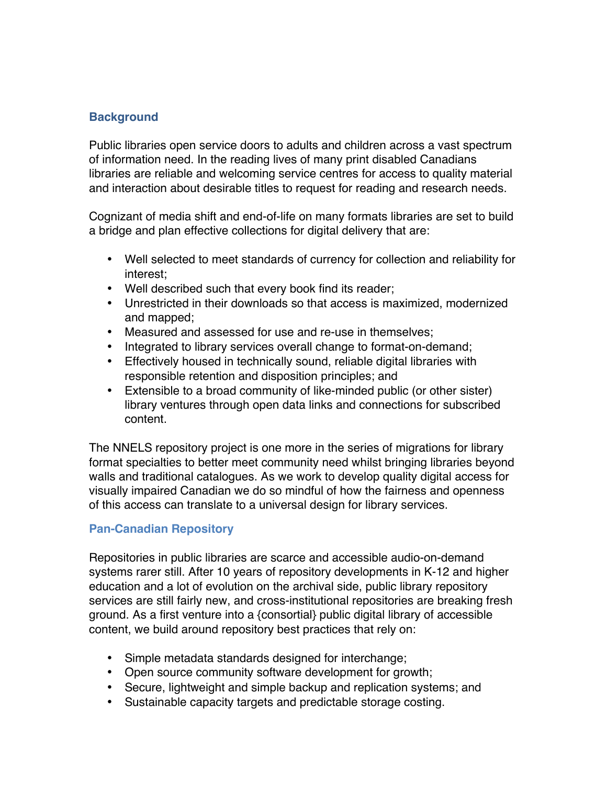# **Background**

Public libraries open service doors to adults and children across a vast spectrum of information need. In the reading lives of many print disabled Canadians libraries are reliable and welcoming service centres for access to quality material and interaction about desirable titles to request for reading and research needs.

Cognizant of media shift and end-of-life on many formats libraries are set to build a bridge and plan effective collections for digital delivery that are:

- Well selected to meet standards of currency for collection and reliability for interest;
- Well described such that every book find its reader;
- Unrestricted in their downloads so that access is maximized, modernized and mapped;
- Measured and assessed for use and re-use in themselves;
- Integrated to library services overall change to format-on-demand;
- Effectively housed in technically sound, reliable digital libraries with responsible retention and disposition principles; and
- Extensible to a broad community of like-minded public (or other sister) library ventures through open data links and connections for subscribed content.

The NNELS repository project is one more in the series of migrations for library format specialties to better meet community need whilst bringing libraries beyond walls and traditional catalogues. As we work to develop quality digital access for visually impaired Canadian we do so mindful of how the fairness and openness of this access can translate to a universal design for library services.

## **Pan-Canadian Repository**

Repositories in public libraries are scarce and accessible audio-on-demand systems rarer still. After 10 years of repository developments in K-12 and higher education and a lot of evolution on the archival side, public library repository services are still fairly new, and cross-institutional repositories are breaking fresh ground. As a first venture into a {consortial} public digital library of accessible content, we build around repository best practices that rely on:

- Simple metadata standards designed for interchange;
- Open source community software development for growth;
- Secure, lightweight and simple backup and replication systems; and
- Sustainable capacity targets and predictable storage costing.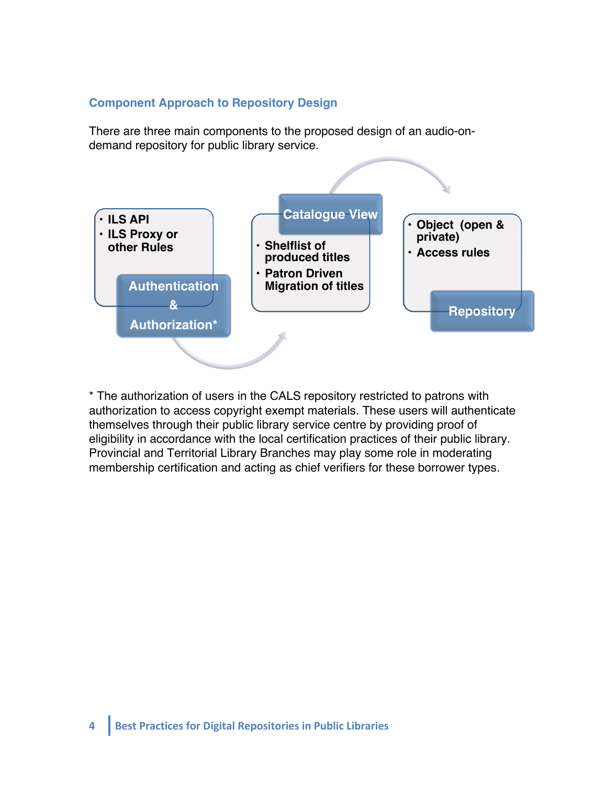#### **Component Approach to Repository Design**

There are three main components to the proposed design of an audio-ondemand repository for public library service.



\* The authorization of users in the CALS repository restricted to patrons with authorization to access copyright exempt materials. These users will authenticate themselves through their public library service centre by providing proof of eligibility in accordance with the local certification practices of their public library. Provincial and Territorial Library Branches may play some role in moderating membership certification and acting as chief verifiers for these borrower types.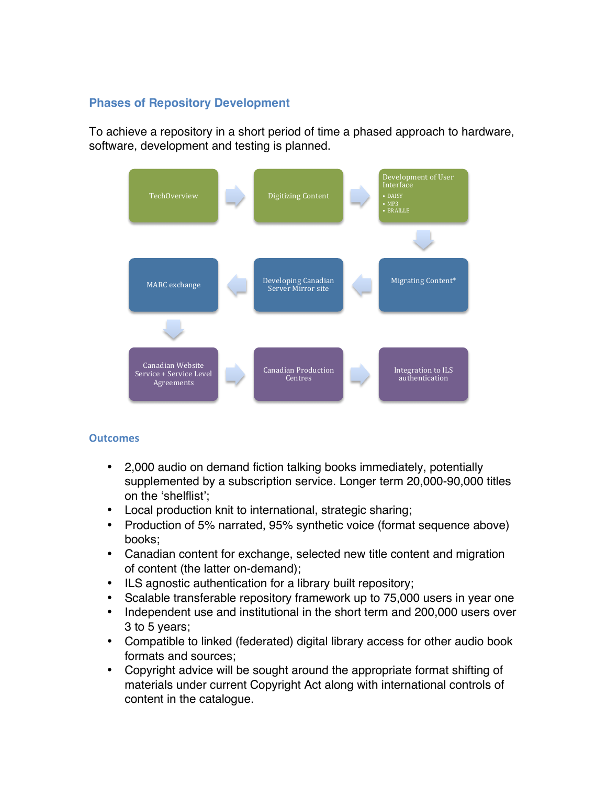## **Phases of Repository Development**

To achieve a repository in a short period of time a phased approach to hardware, software, development and testing is planned.



#### **Outcomes**

- 2,000 audio on demand fiction talking books immediately, potentially supplemented by a subscription service. Longer term 20,000-90,000 titles on the 'shelflist';
- Local production knit to international, strategic sharing;
- Production of 5% narrated, 95% synthetic voice (format sequence above) books;
- Canadian content for exchange, selected new title content and migration of content (the latter on-demand);
- ILS agnostic authentication for a library built repository;
- Scalable transferable repository framework up to 75,000 users in year one
- Independent use and institutional in the short term and 200,000 users over 3 to 5 years;
- Compatible to linked (federated) digital library access for other audio book formats and sources;
- Copyright advice will be sought around the appropriate format shifting of materials under current Copyright Act along with international controls of content in the catalogue.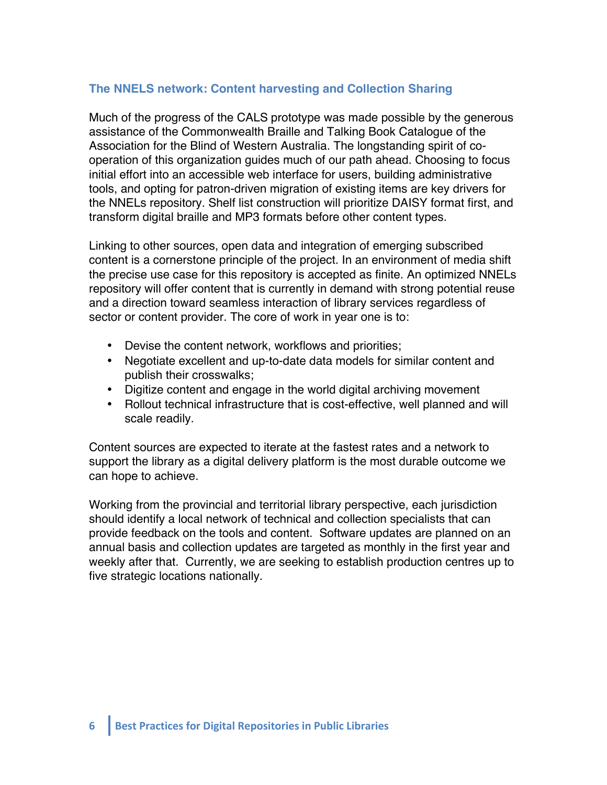# **The NNELS network: Content harvesting and Collection Sharing**

Much of the progress of the CALS prototype was made possible by the generous assistance of the Commonwealth Braille and Talking Book Catalogue of the Association for the Blind of Western Australia. The longstanding spirit of cooperation of this organization guides much of our path ahead. Choosing to focus initial effort into an accessible web interface for users, building administrative tools, and opting for patron-driven migration of existing items are key drivers for the NNELs repository. Shelf list construction will prioritize DAISY format first, and transform digital braille and MP3 formats before other content types.

Linking to other sources, open data and integration of emerging subscribed content is a cornerstone principle of the project. In an environment of media shift the precise use case for this repository is accepted as finite. An optimized NNELs repository will offer content that is currently in demand with strong potential reuse and a direction toward seamless interaction of library services regardless of sector or content provider. The core of work in year one is to:

- Devise the content network, workflows and priorities;
- Negotiate excellent and up-to-date data models for similar content and publish their crosswalks;
- Digitize content and engage in the world digital archiving movement
- Rollout technical infrastructure that is cost-effective, well planned and will scale readily.

Content sources are expected to iterate at the fastest rates and a network to support the library as a digital delivery platform is the most durable outcome we can hope to achieve.

Working from the provincial and territorial library perspective, each jurisdiction should identify a local network of technical and collection specialists that can provide feedback on the tools and content. Software updates are planned on an annual basis and collection updates are targeted as monthly in the first year and weekly after that. Currently, we are seeking to establish production centres up to five strategic locations nationally.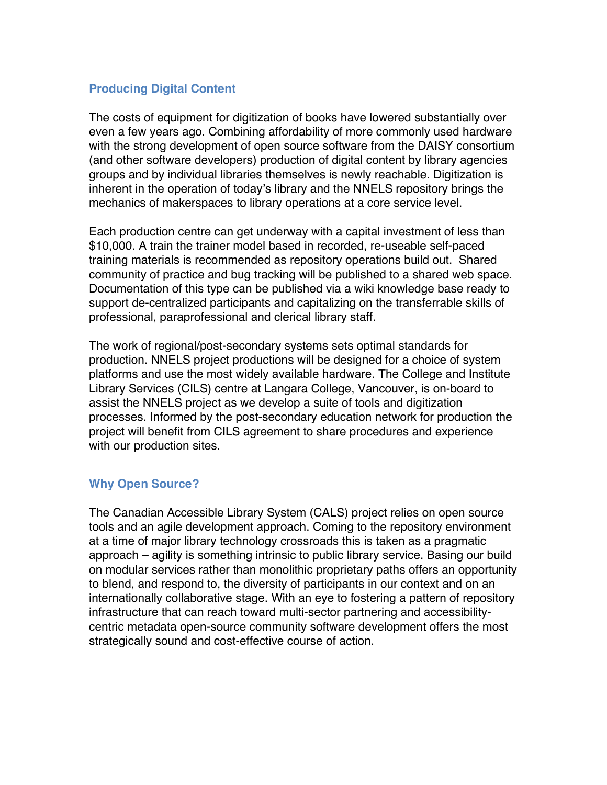## **Producing Digital Content**

The costs of equipment for digitization of books have lowered substantially over even a few years ago. Combining affordability of more commonly used hardware with the strong development of open source software from the DAISY consortium (and other software developers) production of digital content by library agencies groups and by individual libraries themselves is newly reachable. Digitization is inherent in the operation of today's library and the NNELS repository brings the mechanics of makerspaces to library operations at a core service level.

Each production centre can get underway with a capital investment of less than \$10,000. A train the trainer model based in recorded, re-useable self-paced training materials is recommended as repository operations build out. Shared community of practice and bug tracking will be published to a shared web space. Documentation of this type can be published via a wiki knowledge base ready to support de-centralized participants and capitalizing on the transferrable skills of professional, paraprofessional and clerical library staff.

The work of regional/post-secondary systems sets optimal standards for production. NNELS project productions will be designed for a choice of system platforms and use the most widely available hardware. The College and Institute Library Services (CILS) centre at Langara College, Vancouver, is on-board to assist the NNELS project as we develop a suite of tools and digitization processes. Informed by the post-secondary education network for production the project will benefit from CILS agreement to share procedures and experience with our production sites.

## **Why Open Source?**

The Canadian Accessible Library System (CALS) project relies on open source tools and an agile development approach. Coming to the repository environment at a time of major library technology crossroads this is taken as a pragmatic approach – agility is something intrinsic to public library service. Basing our build on modular services rather than monolithic proprietary paths offers an opportunity to blend, and respond to, the diversity of participants in our context and on an internationally collaborative stage. With an eye to fostering a pattern of repository infrastructure that can reach toward multi-sector partnering and accessibilitycentric metadata open-source community software development offers the most strategically sound and cost-effective course of action.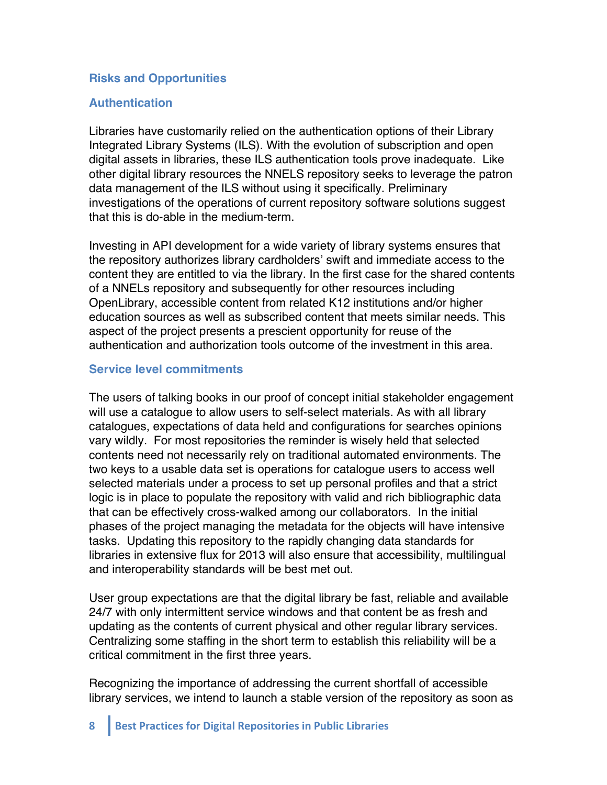## **Risks and Opportunities**

### **Authentication**

Libraries have customarily relied on the authentication options of their Library Integrated Library Systems (ILS). With the evolution of subscription and open digital assets in libraries, these ILS authentication tools prove inadequate. Like other digital library resources the NNELS repository seeks to leverage the patron data management of the ILS without using it specifically. Preliminary investigations of the operations of current repository software solutions suggest that this is do-able in the medium-term.

Investing in API development for a wide variety of library systems ensures that the repository authorizes library cardholders' swift and immediate access to the content they are entitled to via the library. In the first case for the shared contents of a NNELs repository and subsequently for other resources including OpenLibrary, accessible content from related K12 institutions and/or higher education sources as well as subscribed content that meets similar needs. This aspect of the project presents a prescient opportunity for reuse of the authentication and authorization tools outcome of the investment in this area.

#### **Service level commitments**

The users of talking books in our proof of concept initial stakeholder engagement will use a catalogue to allow users to self-select materials. As with all library catalogues, expectations of data held and configurations for searches opinions vary wildly. For most repositories the reminder is wisely held that selected contents need not necessarily rely on traditional automated environments. The two keys to a usable data set is operations for catalogue users to access well selected materials under a process to set up personal profiles and that a strict logic is in place to populate the repository with valid and rich bibliographic data that can be effectively cross-walked among our collaborators. In the initial phases of the project managing the metadata for the objects will have intensive tasks. Updating this repository to the rapidly changing data standards for libraries in extensive flux for 2013 will also ensure that accessibility, multilingual and interoperability standards will be best met out.

User group expectations are that the digital library be fast, reliable and available 24/7 with only intermittent service windows and that content be as fresh and updating as the contents of current physical and other regular library services. Centralizing some staffing in the short term to establish this reliability will be a critical commitment in the first three years.

Recognizing the importance of addressing the current shortfall of accessible library services, we intend to launch a stable version of the repository as soon as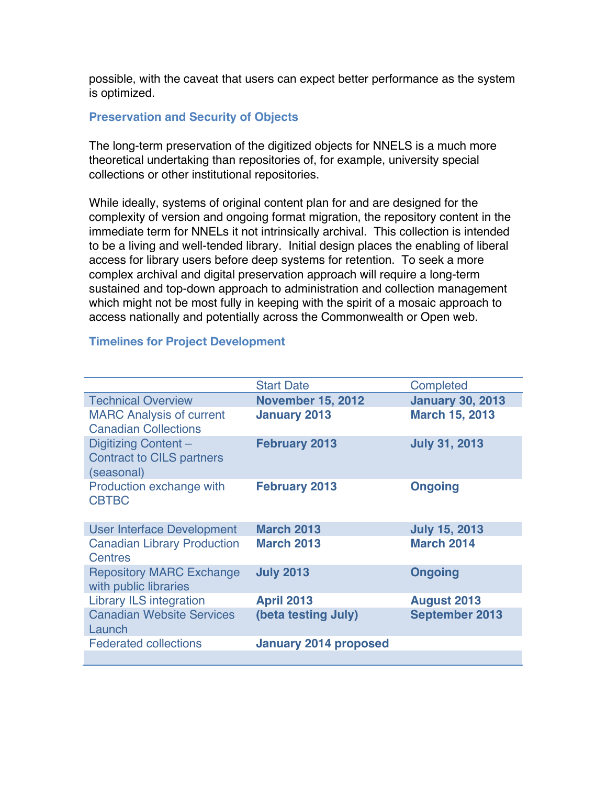possible, with the caveat that users can expect better performance as the system is optimized.

#### **Preservation and Security of Objects**

The long-term preservation of the digitized objects for NNELS is a much more theoretical undertaking than repositories of, for example, university special collections or other institutional repositories.

While ideally, systems of original content plan for and are designed for the complexity of version and ongoing format migration, the repository content in the immediate term for NNELs it not intrinsically archival. This collection is intended to be a living and well-tended library. Initial design places the enabling of liberal access for library users before deep systems for retention. To seek a more complex archival and digital preservation approach will require a long-term sustained and top-down approach to administration and collection management which might not be most fully in keeping with the spirit of a mosaic approach to access nationally and potentially across the Commonwealth or Open web.

#### **Timelines for Project Development**

|                                    | <b>Start Date</b>            | Completed               |
|------------------------------------|------------------------------|-------------------------|
| <b>Technical Overview</b>          | <b>November 15, 2012</b>     | <b>January 30, 2013</b> |
| <b>MARC Analysis of current</b>    | <b>January 2013</b>          | <b>March 15, 2013</b>   |
| <b>Canadian Collections</b>        |                              |                         |
| Digitizing Content-                | <b>February 2013</b>         | <b>July 31, 2013</b>    |
| <b>Contract to CILS partners</b>   |                              |                         |
| (seasonal)                         |                              |                         |
| Production exchange with           | <b>February 2013</b>         | <b>Ongoing</b>          |
| <b>CBTBC</b>                       |                              |                         |
|                                    |                              |                         |
| <b>User Interface Development</b>  | <b>March 2013</b>            | <b>July 15, 2013</b>    |
| <b>Canadian Library Production</b> | <b>March 2013</b>            | <b>March 2014</b>       |
| <b>Centres</b>                     |                              |                         |
| <b>Repository MARC Exchange</b>    | <b>July 2013</b>             | <b>Ongoing</b>          |
| with public libraries              |                              |                         |
| <b>Library ILS integration</b>     | <b>April 2013</b>            | <b>August 2013</b>      |
| <b>Canadian Website Services</b>   | (beta testing July)          | <b>September 2013</b>   |
| Launch                             |                              |                         |
| <b>Federated collections</b>       | <b>January 2014 proposed</b> |                         |
|                                    |                              |                         |